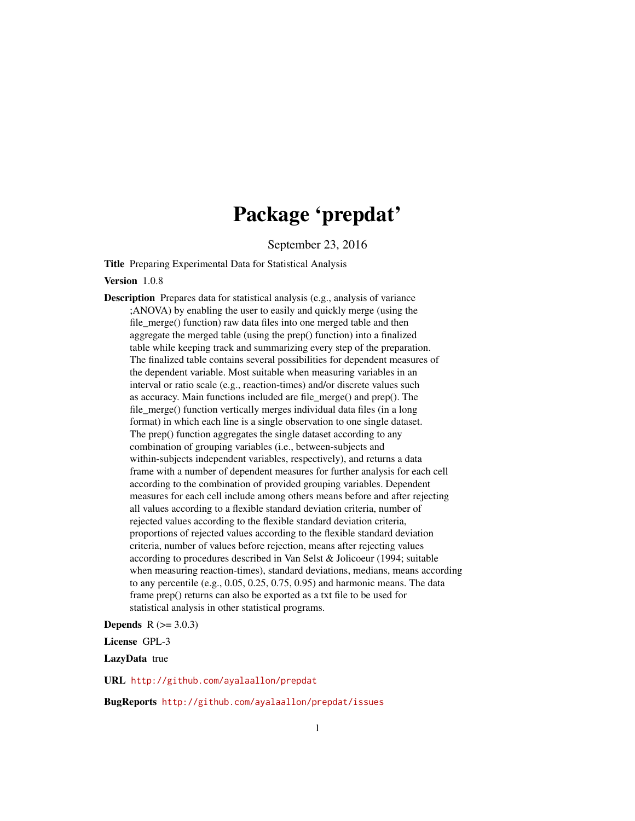# Package 'prepdat'

September 23, 2016

<span id="page-0-0"></span>Title Preparing Experimental Data for Statistical Analysis

#### Version 1.0.8

Description Prepares data for statistical analysis (e.g., analysis of variance ;ANOVA) by enabling the user to easily and quickly merge (using the file merge() function) raw data files into one merged table and then aggregate the merged table (using the prep() function) into a finalized table while keeping track and summarizing every step of the preparation. The finalized table contains several possibilities for dependent measures of the dependent variable. Most suitable when measuring variables in an interval or ratio scale (e.g., reaction-times) and/or discrete values such as accuracy. Main functions included are file\_merge() and prep(). The file\_merge() function vertically merges individual data files (in a long format) in which each line is a single observation to one single dataset. The prep() function aggregates the single dataset according to any combination of grouping variables (i.e., between-subjects and within-subjects independent variables, respectively), and returns a data frame with a number of dependent measures for further analysis for each cell according to the combination of provided grouping variables. Dependent measures for each cell include among others means before and after rejecting all values according to a flexible standard deviation criteria, number of rejected values according to the flexible standard deviation criteria, proportions of rejected values according to the flexible standard deviation criteria, number of values before rejection, means after rejecting values according to procedures described in Van Selst & Jolicoeur (1994; suitable when measuring reaction-times), standard deviations, medians, means according to any percentile (e.g., 0.05, 0.25, 0.75, 0.95) and harmonic means. The data frame prep() returns can also be exported as a txt file to be used for statistical analysis in other statistical programs.

#### **Depends**  $R (= 3.0.3)$

License GPL-3

LazyData true

URL <http://github.com/ayalaallon/prepdat>

BugReports <http://github.com/ayalaallon/prepdat/issues>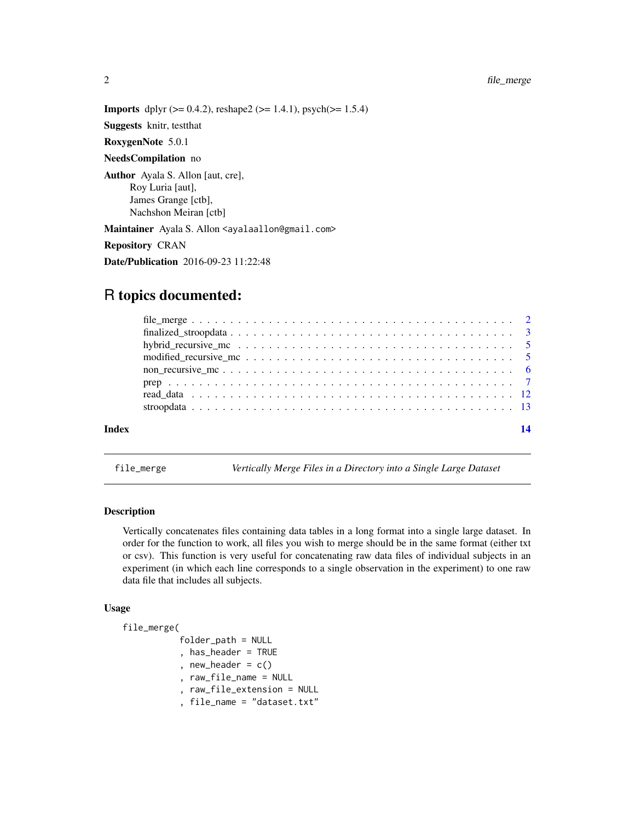#### <span id="page-1-0"></span>2 file\_merge

**Imports** dplyr  $(>= 0.4.2)$ , reshape2  $(>= 1.4.1)$ , psych $(>= 1.5.4)$ 

Suggests knitr, testthat

RoxygenNote 5.0.1

#### NeedsCompilation no

Author Ayala S. Allon [aut, cre], Roy Luria [aut], James Grange [ctb], Nachshon Meiran [ctb]

Maintainer Ayala S. Allon <ayalaallon@gmail.com>

Repository CRAN

Date/Publication 2016-09-23 11:22:48

## R topics documented:

| Index |  |
|-------|--|
|       |  |
|       |  |
|       |  |
|       |  |
|       |  |
|       |  |
|       |  |

file\_merge *Vertically Merge Files in a Directory into a Single Large Dataset*

#### **Description**

Vertically concatenates files containing data tables in a long format into a single large dataset. In order for the function to work, all files you wish to merge should be in the same format (either txt or csv). This function is very useful for concatenating raw data files of individual subjects in an experiment (in which each line corresponds to a single observation in the experiment) to one raw data file that includes all subjects.

#### Usage

file\_merge( folder\_path = NULL

, has\_header = TRUE

- , new\_header =  $c()$
- , raw\_file\_name = NULL
- , raw\_file\_extension = NULL
- , file\_name = "dataset.txt"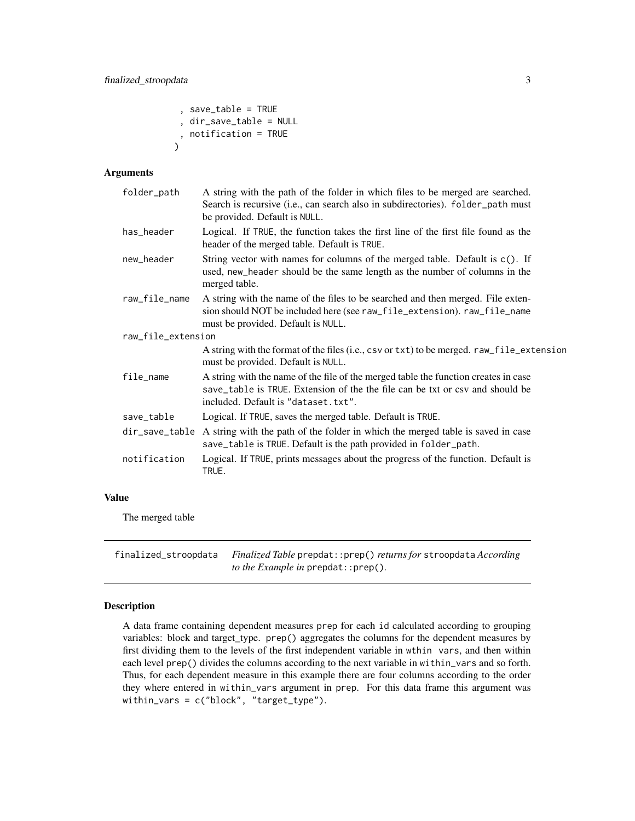<span id="page-2-0"></span>, save\_table = TRUE , dir\_save\_table = NULL , notification = TRUE  $\lambda$ 

#### Arguments

| folder_path        | A string with the path of the folder in which files to be merged are searched.<br>Search is recursive (i.e., can search also in subdirectories). folder_path must<br>be provided. Default is NULL.          |  |
|--------------------|-------------------------------------------------------------------------------------------------------------------------------------------------------------------------------------------------------------|--|
| has_header         | Logical. If TRUE, the function takes the first line of the first file found as the<br>header of the merged table. Default is TRUE.                                                                          |  |
| new_header         | String vector with names for columns of the merged table. Default is c(). If<br>used, new_header should be the same length as the number of columns in the<br>merged table.                                 |  |
| raw_file_name      | A string with the name of the files to be searched and then merged. File exten-<br>sion should NOT be included here (see raw_file_extension). raw_file_name<br>must be provided. Default is NULL.           |  |
| raw_file_extension |                                                                                                                                                                                                             |  |
|                    | A string with the format of the files (i.e., csv or txt) to be merged. raw_file_extension<br>must be provided. Default is NULL.                                                                             |  |
| file_name          | A string with the name of the file of the merged table the function creates in case<br>save_table is TRUE. Extension of the the file can be txt or csy and should be<br>included. Default is "dataset.txt". |  |
| save_table         | Logical. If TRUE, saves the merged table. Default is TRUE.                                                                                                                                                  |  |
| dir_save_table     | A string with the path of the folder in which the merged table is saved in case<br>save_table is TRUE. Default is the path provided in folder_path.                                                         |  |
| notification       | Logical. If TRUE, prints messages about the progress of the function. Default is<br>TRUE.                                                                                                                   |  |
|                    |                                                                                                                                                                                                             |  |

#### Value

The merged table

finalized\_stroopdata *Finalized Table* prepdat::prep() *returns for* stroopdata *According to the Example in* prepdat::prep()*.*

#### Description

A data frame containing dependent measures prep for each id calculated according to grouping variables: block and target\_type. prep() aggregates the columns for the dependent measures by first dividing them to the levels of the first independent variable in wthin vars, and then within each level prep() divides the columns according to the next variable in within\_vars and so forth. Thus, for each dependent measure in this example there are four columns according to the order they where entered in within\_vars argument in prep. For this data frame this argument was within\_vars = c("block", "target\_type").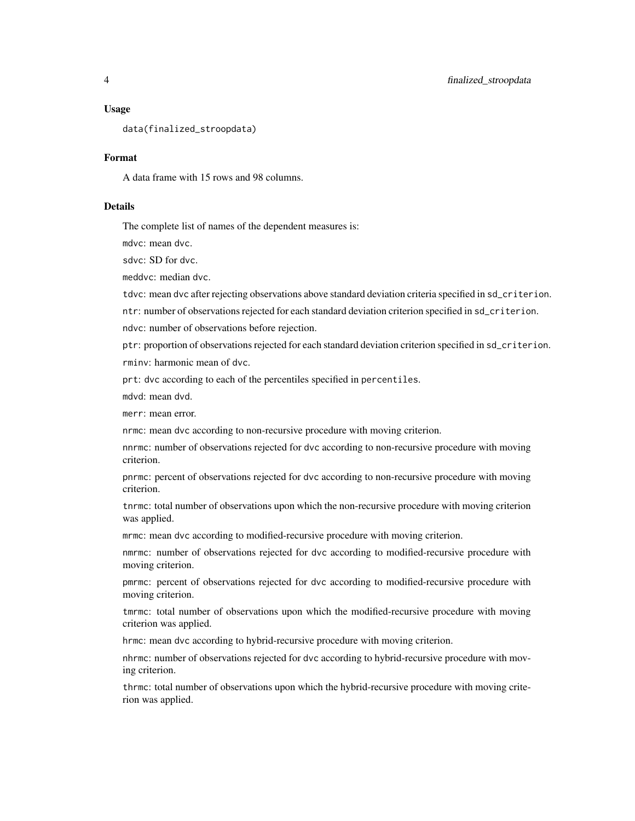#### Usage

data(finalized\_stroopdata)

#### Format

A data frame with 15 rows and 98 columns.

#### Details

The complete list of names of the dependent measures is:

mdvc: mean dvc.

sdvc: SD for dvc.

meddvc: median dvc.

tdvc: mean dvc after rejecting observations above standard deviation criteria specified in sd\_criterion.

ntr: number of observations rejected for each standard deviation criterion specified in sd\_criterion.

ndvc: number of observations before rejection.

ptr: proportion of observations rejected for each standard deviation criterion specified in sd\_criterion. rminv: harmonic mean of dvc.

prt: dvc according to each of the percentiles specified in percentiles.

mdvd: mean dvd.

merr: mean error.

nrmc: mean dvc according to non-recursive procedure with moving criterion.

nnrmc: number of observations rejected for dvc according to non-recursive procedure with moving criterion.

pnrmc: percent of observations rejected for dvc according to non-recursive procedure with moving criterion.

tnrmc: total number of observations upon which the non-recursive procedure with moving criterion was applied.

mrmc: mean dvc according to modified-recursive procedure with moving criterion.

nmrmc: number of observations rejected for dvc according to modified-recursive procedure with moving criterion.

pmrmc: percent of observations rejected for dvc according to modified-recursive procedure with moving criterion.

tmrmc: total number of observations upon which the modified-recursive procedure with moving criterion was applied.

hrmc: mean dvc according to hybrid-recursive procedure with moving criterion.

nhrmc: number of observations rejected for dvc according to hybrid-recursive procedure with moving criterion.

thrmc: total number of observations upon which the hybrid-recursive procedure with moving criterion was applied.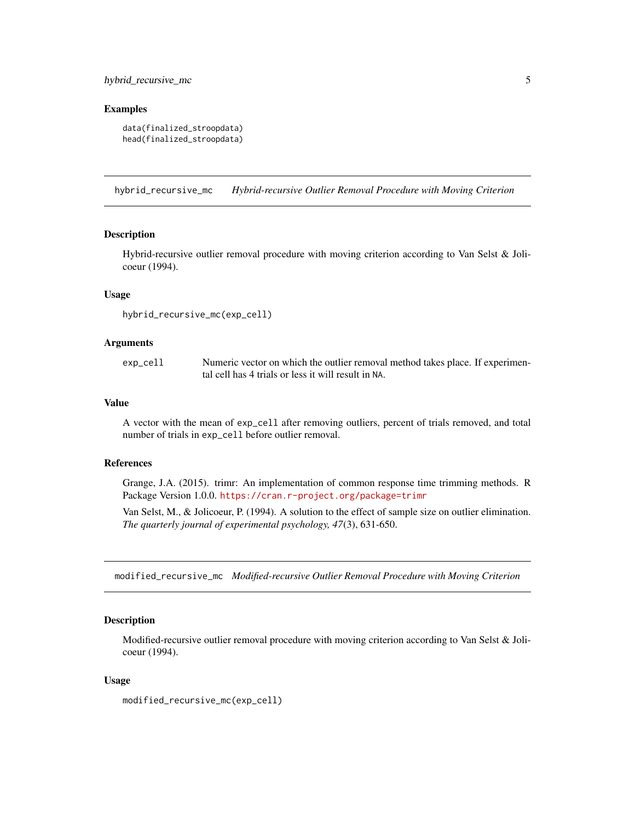#### <span id="page-4-0"></span>hybrid\_recursive\_mc 5

#### Examples

```
data(finalized_stroopdata)
head(finalized_stroopdata)
```
hybrid\_recursive\_mc *Hybrid-recursive Outlier Removal Procedure with Moving Criterion*

#### Description

Hybrid-recursive outlier removal procedure with moving criterion according to Van Selst & Jolicoeur (1994).

#### Usage

```
hybrid_recursive_mc(exp_cell)
```
#### Arguments

exp\_cell Numeric vector on which the outlier removal method takes place. If experimental cell has 4 trials or less it will result in NA.

#### Value

A vector with the mean of exp\_cell after removing outliers, percent of trials removed, and total number of trials in exp\_cell before outlier removal.

#### References

Grange, J.A. (2015). trimr: An implementation of common response time trimming methods. R Package Version 1.0.0. <https://cran.r-project.org/package=trimr>

Van Selst, M., & Jolicoeur, P. (1994). A solution to the effect of sample size on outlier elimination. *The quarterly journal of experimental psychology, 47*(3), 631-650.

modified\_recursive\_mc *Modified-recursive Outlier Removal Procedure with Moving Criterion*

#### Description

Modified-recursive outlier removal procedure with moving criterion according to Van Selst & Jolicoeur (1994).

#### Usage

modified\_recursive\_mc(exp\_cell)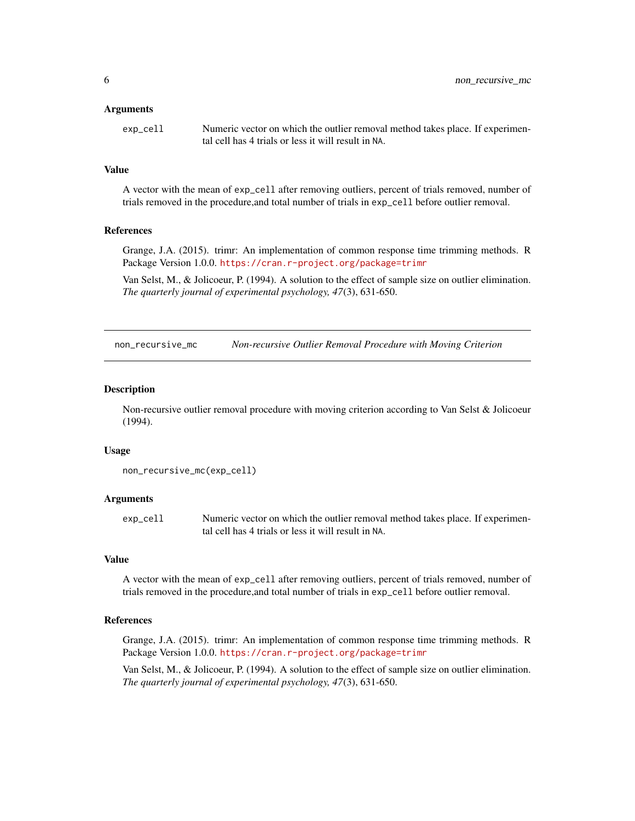#### <span id="page-5-0"></span>Arguments

| exp_cell | Numeric vector on which the outlier removal method takes place. If experimen- |
|----------|-------------------------------------------------------------------------------|
|          | tal cell has 4 trials or less it will result in NA.                           |

#### Value

A vector with the mean of exp\_cell after removing outliers, percent of trials removed, number of trials removed in the procedure,and total number of trials in exp\_cell before outlier removal.

#### References

Grange, J.A. (2015). trimr: An implementation of common response time trimming methods. R Package Version 1.0.0. <https://cran.r-project.org/package=trimr>

Van Selst, M., & Jolicoeur, P. (1994). A solution to the effect of sample size on outlier elimination. *The quarterly journal of experimental psychology, 47*(3), 631-650.

non\_recursive\_mc *Non-recursive Outlier Removal Procedure with Moving Criterion*

#### **Description**

Non-recursive outlier removal procedure with moving criterion according to Van Selst & Jolicoeur (1994).

#### Usage

```
non_recursive_mc(exp_cell)
```
#### Arguments

exp\_cell Numeric vector on which the outlier removal method takes place. If experimental cell has 4 trials or less it will result in NA.

#### Value

A vector with the mean of exp\_cell after removing outliers, percent of trials removed, number of trials removed in the procedure,and total number of trials in exp\_cell before outlier removal.

#### References

Grange, J.A. (2015). trimr: An implementation of common response time trimming methods. R Package Version 1.0.0. <https://cran.r-project.org/package=trimr>

Van Selst, M., & Jolicoeur, P. (1994). A solution to the effect of sample size on outlier elimination. *The quarterly journal of experimental psychology, 47*(3), 631-650.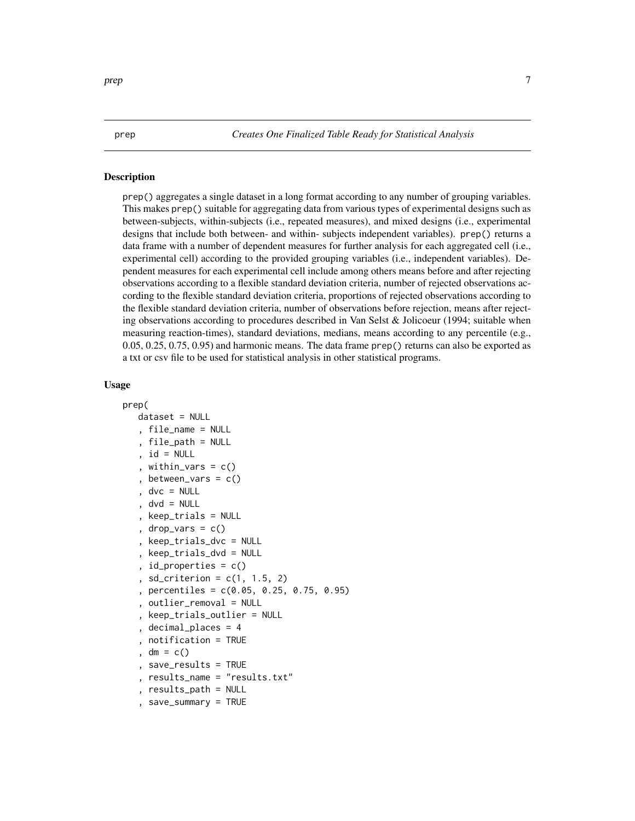<span id="page-6-0"></span>prep *Creates One Finalized Table Ready for Statistical Analysis*

#### Description

prep() aggregates a single dataset in a long format according to any number of grouping variables. This makes prep() suitable for aggregating data from various types of experimental designs such as between-subjects, within-subjects (i.e., repeated measures), and mixed designs (i.e., experimental designs that include both between- and within- subjects independent variables). prep() returns a data frame with a number of dependent measures for further analysis for each aggregated cell (i.e., experimental cell) according to the provided grouping variables (i.e., independent variables). Dependent measures for each experimental cell include among others means before and after rejecting observations according to a flexible standard deviation criteria, number of rejected observations according to the flexible standard deviation criteria, proportions of rejected observations according to the flexible standard deviation criteria, number of observations before rejection, means after rejecting observations according to procedures described in Van Selst & Jolicoeur (1994; suitable when measuring reaction-times), standard deviations, medians, means according to any percentile (e.g., 0.05, 0.25, 0.75, 0.95) and harmonic means. The data frame prep() returns can also be exported as a txt or csv file to be used for statistical analysis in other statistical programs.

#### Usage

```
prep(
   dataset = NULL, file_name = NULL
   , file_path = NULL
     id = NULLwithin_vars = c(), between_vars = c()dvc = NULLdvd = NULLkeep\_trials = NULLdrop\_vars = c(), keep_trials_dvc = NULL
   , keep_trials_dvd = NULL
   , id_properties = c()sd\_criterion = c(1, 1.5, 2)percentiles = c(0.05, 0.25, 0.75, 0.95), outlier_removal = NULL
     , keep_trials_outlier = NULL
     , decimal_places = 4
     , notification = TRUE
    dm = c()save\_results = TRUE, results_name = "results.txt"
     , results_path = NULL
    , save_summary = TRUE
```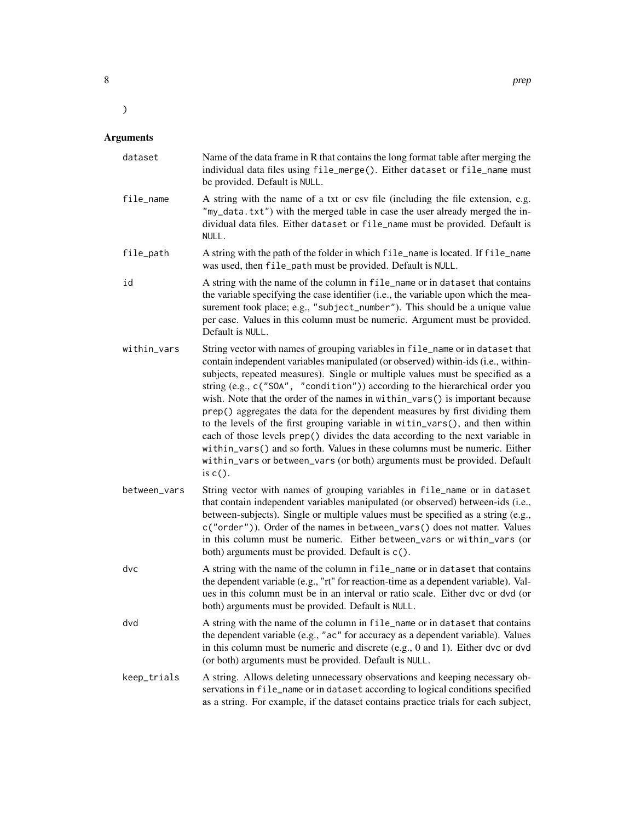## Arguments

 $\overline{\phantom{a}}$ 

| dataset      | Name of the data frame in R that contains the long format table after merging the<br>individual data files using file_merge(). Either dataset or file_name must<br>be provided. Default is NULL.                                                                                                                                                                                                                                                                                                                                                                                                                                                                                                                                                                                                                                                   |
|--------------|----------------------------------------------------------------------------------------------------------------------------------------------------------------------------------------------------------------------------------------------------------------------------------------------------------------------------------------------------------------------------------------------------------------------------------------------------------------------------------------------------------------------------------------------------------------------------------------------------------------------------------------------------------------------------------------------------------------------------------------------------------------------------------------------------------------------------------------------------|
| file_name    | A string with the name of a txt or csv file (including the file extension, e.g.<br>"my_data.txt") with the merged table in case the user already merged the in-<br>dividual data files. Either dataset or file_name must be provided. Default is<br>NULL.                                                                                                                                                                                                                                                                                                                                                                                                                                                                                                                                                                                          |
| file_path    | A string with the path of the folder in which file_name is located. If file_name<br>was used, then file_path must be provided. Default is NULL.                                                                                                                                                                                                                                                                                                                                                                                                                                                                                                                                                                                                                                                                                                    |
| id           | A string with the name of the column in file_name or in dataset that contains<br>the variable specifying the case identifier (i.e., the variable upon which the mea-<br>surement took place; e.g., "subject_number"). This should be a unique value<br>per case. Values in this column must be numeric. Argument must be provided.<br>Default is NULL.                                                                                                                                                                                                                                                                                                                                                                                                                                                                                             |
| within_vars  | String vector with names of grouping variables in file_name or in dataset that<br>contain independent variables manipulated (or observed) within-ids (i.e., within-<br>subjects, repeated measures). Single or multiple values must be specified as a<br>string (e.g., c("SOA", "condition")) according to the hierarchical order you<br>wish. Note that the order of the names in within_vars() is important because<br>prep() aggregates the data for the dependent measures by first dividing them<br>to the levels of the first grouping variable in witin_vars(), and then within<br>each of those levels prep() divides the data according to the next variable in<br>within_vars() and so forth. Values in these columns must be numeric. Either<br>within_vars or between_vars (or both) arguments must be provided. Default<br>is $c()$ . |
| between_vars | String vector with names of grouping variables in file_name or in dataset<br>that contain independent variables manipulated (or observed) between-ids (i.e.,<br>between-subjects). Single or multiple values must be specified as a string (e.g.,<br>c("order")). Order of the names in between_vars() does not matter. Values<br>in this column must be numeric. Either between_vars or within_vars (or<br>both) arguments must be provided. Default is c().                                                                                                                                                                                                                                                                                                                                                                                      |
| dvc          | A string with the name of the column in file_name or in dataset that contains<br>the dependent variable (e.g., "rt" for reaction-time as a dependent variable). Val-<br>ues in this column must be in an interval or ratio scale. Either dvc or dvd (or<br>both) arguments must be provided. Default is NULL.                                                                                                                                                                                                                                                                                                                                                                                                                                                                                                                                      |
| dvd          | A string with the name of the column in file_name or in dataset that contains<br>the dependent variable (e.g., "ac" for accuracy as a dependent variable). Values<br>in this column must be numeric and discrete (e.g., 0 and 1). Either dvc or dvd<br>(or both) arguments must be provided. Default is NULL.                                                                                                                                                                                                                                                                                                                                                                                                                                                                                                                                      |
| keep_trials  | A string. Allows deleting unnecessary observations and keeping necessary ob-<br>servations in file_name or in dataset according to logical conditions specified<br>as a string. For example, if the dataset contains practice trials for each subject,                                                                                                                                                                                                                                                                                                                                                                                                                                                                                                                                                                                             |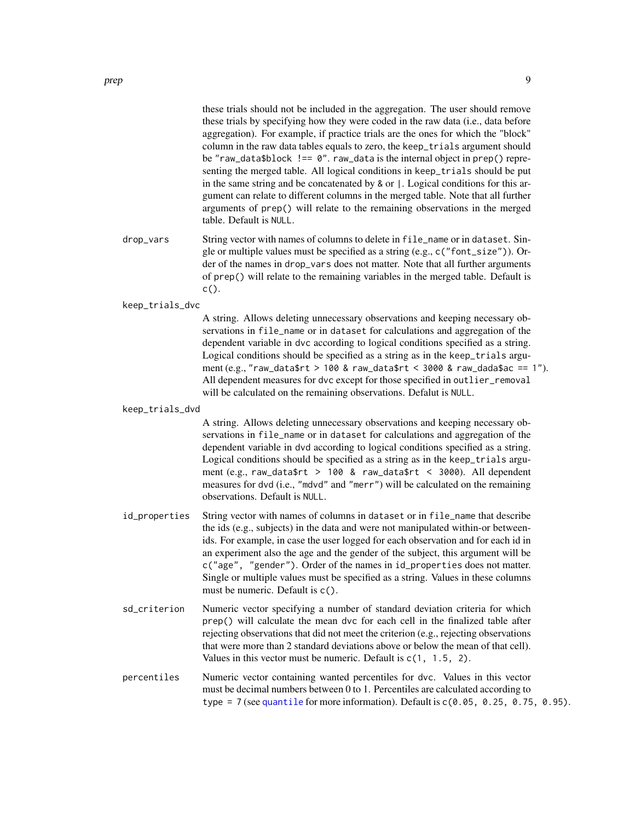<span id="page-8-0"></span>these trials should not be included in the aggregation. The user should remove these trials by specifying how they were coded in the raw data (i.e., data before aggregation). For example, if practice trials are the ones for which the "block" column in the raw data tables equals to zero, the keep\_trials argument should be "raw\_data\$block !== 0". raw\_data is the internal object in prep() representing the merged table. All logical conditions in keep\_trials should be put in the same string and be concatenated by & or |. Logical conditions for this argument can relate to different columns in the merged table. Note that all further arguments of prep() will relate to the remaining observations in the merged table. Default is NULL.

drop\_vars String vector with names of columns to delete in file\_name or in dataset. Single or multiple values must be specified as a string (e.g., c("font\_size")). Order of the names in drop\_vars does not matter. Note that all further arguments of prep() will relate to the remaining variables in the merged table. Default is  $c()$ .

keep\_trials\_dvc

A string. Allows deleting unnecessary observations and keeping necessary observations in file\_name or in dataset for calculations and aggregation of the dependent variable in dvc according to logical conditions specified as a string. Logical conditions should be specified as a string as in the keep\_trials argument (e.g., "raw\_data\$rt > 100 & raw\_data\$rt < 3000 & raw\_dada\$ac == 1"). All dependent measures for dvc except for those specified in outlier\_removal will be calculated on the remaining observations. Defalut is NULL.

keep\_trials\_dvd

A string. Allows deleting unnecessary observations and keeping necessary observations in file\_name or in dataset for calculations and aggregation of the dependent variable in dvd according to logical conditions specified as a string. Logical conditions should be specified as a string as in the keep\_trials argument (e.g., raw\_data\$rt > 100 & raw\_data\$rt < 3000). All dependent measures for dvd (i.e., "mdvd" and "merr") will be calculated on the remaining observations. Default is NULL.

- id\_properties String vector with names of columns in dataset or in file\_name that describe the ids (e.g., subjects) in the data and were not manipulated within-or betweenids. For example, in case the user logged for each observation and for each id in an experiment also the age and the gender of the subject, this argument will be c("age", "gender"). Order of the names in id\_properties does not matter. Single or multiple values must be specified as a string. Values in these columns must be numeric. Default is c().
- sd\_criterion Numeric vector specifying a number of standard deviation criteria for which prep() will calculate the mean dvc for each cell in the finalized table after rejecting observations that did not meet the criterion (e.g., rejecting observations that were more than 2 standard deviations above or below the mean of that cell). Values in this vector must be numeric. Default is  $c(1, 1.5, 2)$ .
- percentiles Numeric vector containing wanted percentiles for dvc. Values in this vector must be decimal numbers between 0 to 1. Percentiles are calculated according to type = 7 (see [quantile](#page-0-0) for more information). Default is  $c(0.05, 0.25, 0.75, 0.95)$ .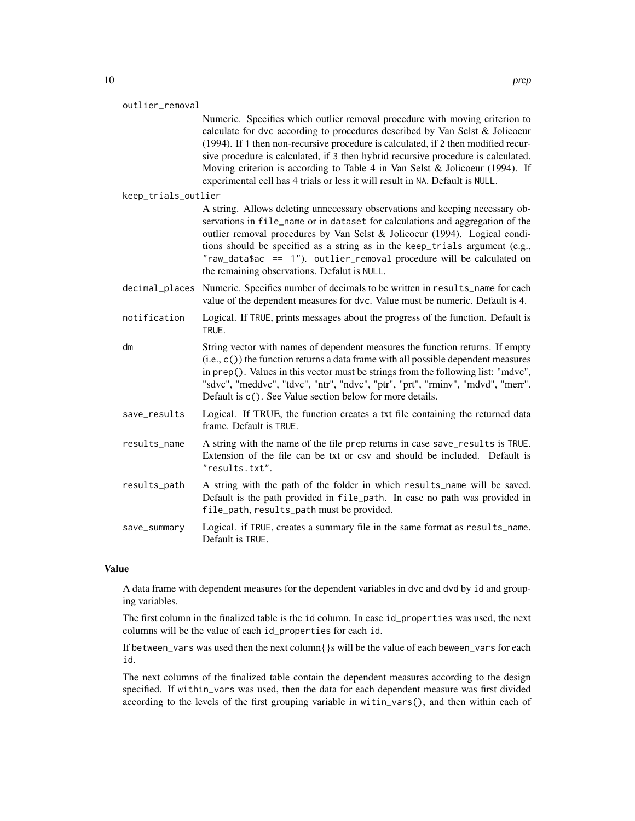| outlier removal     | Numeric. Specifies which outlier removal procedure with moving criterion to<br>calculate for dvc according to procedures described by Van Selst & Jolicoeur<br>(1994). If 1 then non-recursive procedure is calculated, if 2 then modified recur-<br>sive procedure is calculated, if 3 then hybrid recursive procedure is calculated.<br>Moving criterion is according to Table 4 in Van Selst & Jolicoeur (1994). If<br>experimental cell has 4 trials or less it will result in NA. Default is NULL. |
|---------------------|---------------------------------------------------------------------------------------------------------------------------------------------------------------------------------------------------------------------------------------------------------------------------------------------------------------------------------------------------------------------------------------------------------------------------------------------------------------------------------------------------------|
| keep_trials_outlier |                                                                                                                                                                                                                                                                                                                                                                                                                                                                                                         |
|                     | A string. Allows deleting unnecessary observations and keeping necessary ob-<br>servations in file_name or in dataset for calculations and aggregation of the<br>outlier removal procedures by Van Selst & Jolicoeur (1994). Logical condi-<br>tions should be specified as a string as in the keep_trials argument (e.g.,<br>$"raw_data$ \$ac == 1"). outlier_removal procedure will be calculated on<br>the remaining observations. Defalut is NULL.                                                  |
|                     | decimal_places Numeric. Specifies number of decimals to be written in results_name for each<br>value of the dependent measures for dvc. Value must be numeric. Default is 4.                                                                                                                                                                                                                                                                                                                            |
| notification        | Logical. If TRUE, prints messages about the progress of the function. Default is<br>TRUE.                                                                                                                                                                                                                                                                                                                                                                                                               |
| dm                  | String vector with names of dependent measures the function returns. If empty<br>$(i.e., c())$ the function returns a data frame with all possible dependent measures<br>in prep(). Values in this vector must be strings from the following list: "mdvc",<br>"sdvc", "meddvc", "tdvc", "ntr", "ndvc", "ptr", "prt", "rminv", "mdvd", "merr".<br>Default is c(). See Value section below for more details.                                                                                              |
| save_results        | Logical. If TRUE, the function creates a txt file containing the returned data<br>frame. Default is TRUE.                                                                                                                                                                                                                                                                                                                                                                                               |
| results_name        | A string with the name of the file prep returns in case save_results is TRUE.<br>Extension of the file can be txt or csv and should be included. Default is<br>"results.txt".                                                                                                                                                                                                                                                                                                                           |
| results_path        | A string with the path of the folder in which results_name will be saved.<br>Default is the path provided in file_path. In case no path was provided in<br>file_path, results_path must be provided.                                                                                                                                                                                                                                                                                                    |
| save_summary        | Logical. if TRUE, creates a summary file in the same format as results_name.<br>Default is TRUE.                                                                                                                                                                                                                                                                                                                                                                                                        |
|                     |                                                                                                                                                                                                                                                                                                                                                                                                                                                                                                         |

#### Value

A data frame with dependent measures for the dependent variables in dvc and dvd by id and grouping variables.

The first column in the finalized table is the id column. In case id\_properties was used, the next columns will be the value of each id\_properties for each id.

If between\_vars was used then the next column $\{\}$ s will be the value of each beween\_vars for each id.

The next columns of the finalized table contain the dependent measures according to the design specified. If within\_vars was used, then the data for each dependent measure was first divided according to the levels of the first grouping variable in witin\_vars(), and then within each of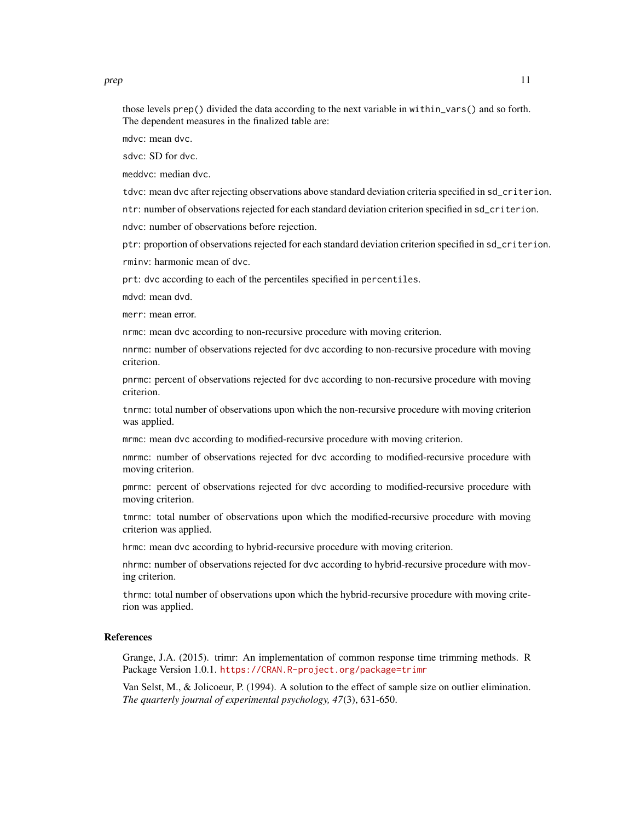prep the contract of the contract of the contract of the contract of the contract of the contract of the contract of the contract of the contract of the contract of the contract of the contract of the contract of the contr

those levels prep() divided the data according to the next variable in within\_vars() and so forth. The dependent measures in the finalized table are:

mdvc: mean dvc.

sdvc: SD for dvc.

meddvc: median dvc.

tdvc: mean dvc after rejecting observations above standard deviation criteria specified in sd\_criterion.

ntr: number of observations rejected for each standard deviation criterion specified in sd\_criterion.

ndvc: number of observations before rejection.

ptr: proportion of observations rejected for each standard deviation criterion specified in sd\_criterion. rminv: harmonic mean of dvc.

prt: dvc according to each of the percentiles specified in percentiles.

mdvd: mean dvd.

merr: mean error.

nrmc: mean dvc according to non-recursive procedure with moving criterion.

nnrmc: number of observations rejected for dvc according to non-recursive procedure with moving criterion.

pnrmc: percent of observations rejected for dvc according to non-recursive procedure with moving criterion.

tnrmc: total number of observations upon which the non-recursive procedure with moving criterion was applied.

mrmc: mean dvc according to modified-recursive procedure with moving criterion.

nmrmc: number of observations rejected for dvc according to modified-recursive procedure with moving criterion.

pmrmc: percent of observations rejected for dvc according to modified-recursive procedure with moving criterion.

tmrmc: total number of observations upon which the modified-recursive procedure with moving criterion was applied.

hrmc: mean dvc according to hybrid-recursive procedure with moving criterion.

nhrmc: number of observations rejected for dvc according to hybrid-recursive procedure with moving criterion.

thrmc: total number of observations upon which the hybrid-recursive procedure with moving criterion was applied.

#### References

Grange, J.A. (2015). trimr: An implementation of common response time trimming methods. R Package Version 1.0.1. <https://CRAN.R-project.org/package=trimr>

Van Selst, M., & Jolicoeur, P. (1994). A solution to the effect of sample size on outlier elimination. *The quarterly journal of experimental psychology, 47*(3), 631-650.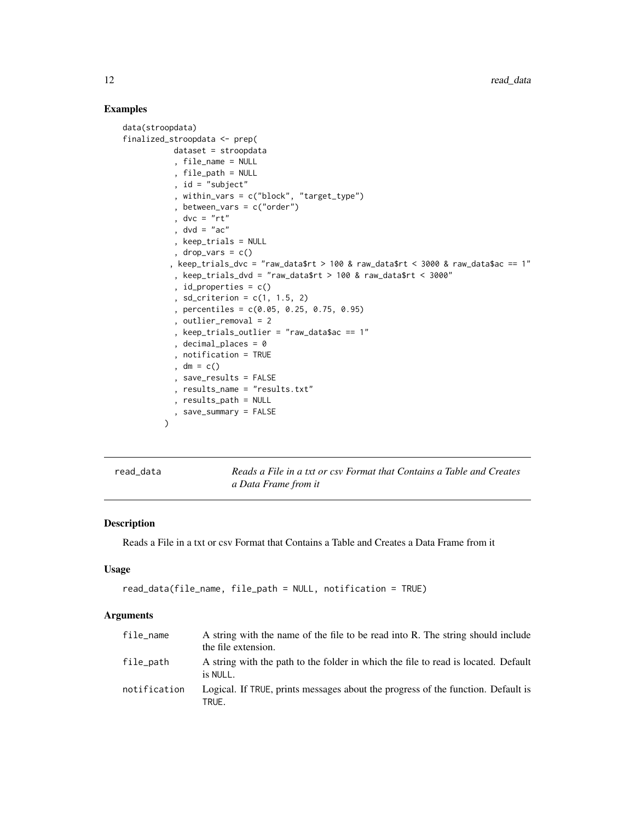### Examples

```
data(stroopdata)
finalized_stroopdata <- prep(
          dataset = stroopdata
           , file_name = NULL
           , file_path = NULL
           , id = "subject"
           , within_vars = c("block", "target_type")
           , between_vars = c("order")
           , dvc = "rt", dvd = "ac", keep_trials = NULL
           , drop_vars = c()
          , keep_trials_dvc = "raw_data$rt > 100 & raw_data$rt < 3000 & raw_data$ac == 1"
           , keep_trials_dvd = "raw_data$rt > 100 & raw_data$rt < 3000"
           , id_properties = c()
           , sd_criterion = c(1, 1.5, 2), percentiles = c(0.05, 0.25, 0.75, 0.95)
           , outlier_removal = 2
           , keep_trials_outlier = "raw_data$ac == 1"
           , decimal_places = 0
           , notification = TRUE
           , dm = c(), save_results = FALSE
           , results_name = "results.txt"
           , results_path = NULL
           , save_summary = FALSE
        )
```
read\_data *Reads a File in a txt or csv Format that Contains a Table and Creates a Data Frame from it*

#### Description

Reads a File in a txt or csv Format that Contains a Table and Creates a Data Frame from it

#### Usage

```
read_data(file_name, file_path = NULL, notification = TRUE)
```
#### Arguments

| file name    | A string with the name of the file to be read into R. The string should include<br>the file extension. |
|--------------|--------------------------------------------------------------------------------------------------------|
| file_path    | A string with the path to the folder in which the file to read is located. Default<br>is NULL.         |
| notification | Logical. If TRUE, prints messages about the progress of the function. Default is<br>TRUE.              |

<span id="page-11-0"></span>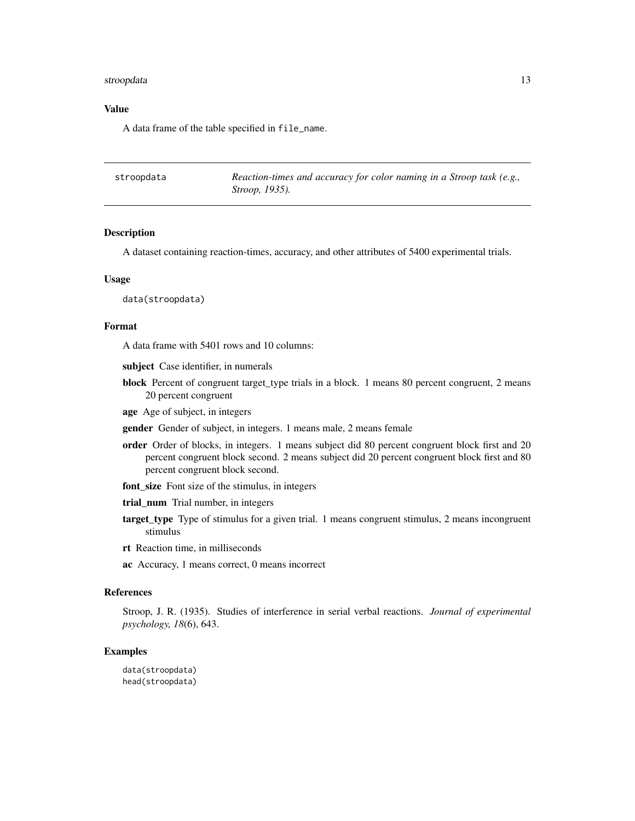#### <span id="page-12-0"></span>stroopdata 13

#### Value

A data frame of the table specified in file\_name.

| stroopdata | Reaction-times and accuracy for color naming in a Stroop task (e.g., |
|------------|----------------------------------------------------------------------|
|            | <i>Stroop</i> , 1935).                                               |

#### Description

A dataset containing reaction-times, accuracy, and other attributes of 5400 experimental trials.

#### Usage

data(stroopdata)

#### Format

A data frame with 5401 rows and 10 columns:

- subject Case identifier, in numerals
- block Percent of congruent target\_type trials in a block. 1 means 80 percent congruent, 2 means 20 percent congruent
- age Age of subject, in integers
- gender Gender of subject, in integers. 1 means male, 2 means female
- order Order of blocks, in integers. 1 means subject did 80 percent congruent block first and 20 percent congruent block second. 2 means subject did 20 percent congruent block first and 80 percent congruent block second.
- font size Font size of the stimulus, in integers
- trial\_num Trial number, in integers
- target\_type Type of stimulus for a given trial. 1 means congruent stimulus, 2 means incongruent stimulus
- rt Reaction time, in milliseconds
- ac Accuracy, 1 means correct, 0 means incorrect

#### References

Stroop, J. R. (1935). Studies of interference in serial verbal reactions. *Journal of experimental psychology, 18*(6), 643.

#### Examples

```
data(stroopdata)
head(stroopdata)
```